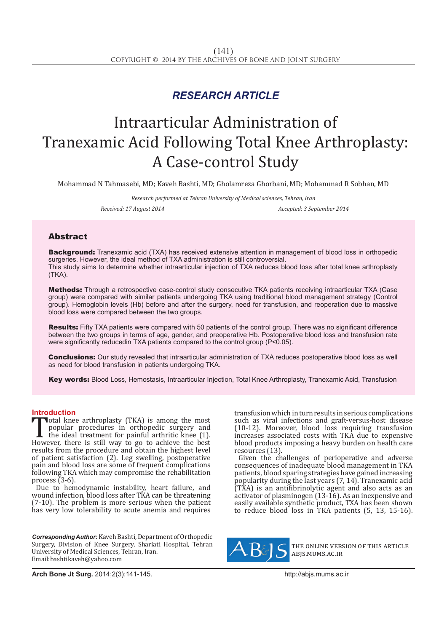## *RESEARCH ARTICLE*

# Intraarticular Administration of Tranexamic Acid Following Total Knee Arthroplasty: A Case-control Study

Mohammad N Tahmasebi, MD; Kaveh Bashti, MD; Gholamreza Ghorbani, MD; Mohammad R Sobhan, MD

*Research performed at Tehran University of Medical sciences, Tehran, Iran Received: 17 August 2014 Accepted: 3 September 2014*

### Abstract

**Background:** Tranexamic acid (TXA) has received extensive attention in management of blood loss in orthopedic surgeries. However, the ideal method of TXA administration is still controversial. This study aims to determine whether intraarticular injection of TXA reduces blood loss after total knee arthroplasty (TKA).

Methods: Through a retrospective case-control study consecutive TKA patients receiving intraarticular TXA (Case group) were compared with similar patients undergoing TKA using traditional blood management strategy (Control group). Hemoglobin levels (Hb) before and after the surgery, need for transfusion, and reoperation due to massive blood loss were compared between the two groups.

Results: Fifty TXA patients were compared with 50 patients of the control group. There was no significant difference between the two groups in terms of age, gender, and preoperative Hb. Postoperative blood loss and transfusion rate were significantly reduced in TXA patients compared to the control group (P<0.05).

Conclusions: Our study revealed that intraarticular administration of TXA reduces postoperative blood loss as well as need for blood transfusion in patients undergoing TKA.

Key words: Blood Loss, Hemostasis, Intraarticular Injection, Total Knee Arthroplasty, Tranexamic Acid, Transfusion

**Introduction**<br>**T**otal knee arthroplasty (TKA) is among the most **Total knee arthroplasty (TKA) is among the most** popular procedures in orthopedic surgery and the ideal treatment for painful arthritic knee (1). However, there is still way to go to achieve the best results from the proc popular procedures in orthopedic surgery and the ideal treatment for painful arthritic knee (1). results from the procedure and obtain the highest level of patient satisfaction (2). Leg swelling, postoperative pain and blood loss are some of frequent complications following TKA which may compromise the rehabilitation process  $(3-6)$ .

Due to hemodynamic instability, heart failure, and wound infection, blood loss after TKA can be threatening (7-10). The problem is more serious when the patient has very low tolerability to acute anemia and requires

*Corresponding Author:* Kaveh Bashti, Department of Orthopedic Surgery, Division of Knee Surgery, Shariati Hospital, Tehran University of Medical Sciences, Tehran, Iran. Email:bashtikaveh@yahoo.com

transfusion which in turn results in serious complications such as viral infections and graft-versus-host disease (10-12). Moreover, blood loss requiring transfusion increases associated costs with TKA due to expensive blood products imposing a heavy burden on health care resources (13).

Given the challenges of perioperative and adverse consequences of inadequate blood management in TKA patients, blood sparing strategies have gained increasing popularity during the last years (7, 14). Tranexamic acid (TXA) is an antifibrinolytic agent and also acts as an activator of plasminogen (13-16). As an inexpensive and easily available synthetic product, TXA has been shown to reduce blood loss in TKA patients (5, 13, 15-16).



the online version of this article abjs.mums.ac.ir

**Arch Bone Jt Surg.** 2014;2(3):141-145.http://abjs.mums.ac.ir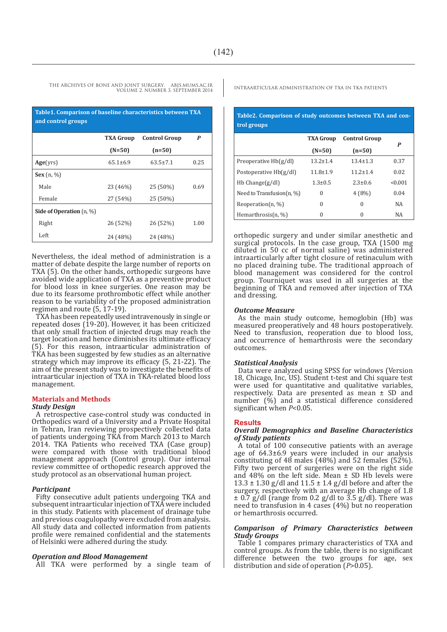| Table1. Comparison of baseline characteristics between TXA<br>and control groups |                  |                      |      |
|----------------------------------------------------------------------------------|------------------|----------------------|------|
|                                                                                  | <b>TXA Group</b> | <b>Control Group</b> | P    |
|                                                                                  | $(N=50)$         | $(n=50)$             |      |
| Age(vrs)                                                                         | $65.1 \pm 6.9$   | $63.5 \pm 7.1$       | 0.25 |
| <b>Sex</b> $(n, %)$                                                              |                  |                      |      |
| Male                                                                             | 23 (46%)         | 25 (50%)             | 0.69 |
| Female                                                                           | 27 (54%)         | 25 (50%)             |      |
| Side of Operation $(n, \%)$                                                      |                  |                      |      |
| Right                                                                            | 26 (52%)         | 26 (52%)             | 1.00 |
| Left                                                                             | 24 (48%)         | 24 (48%)             |      |

Nevertheless, the ideal method of administration is a matter of debate despite the large number of reports on TXA (5). On the other hands, orthopedic surgeons have avoided wide application of TXA as a preventive product for blood loss in knee surgeries. One reason may be due to its fearsome prothrombotic effect while another reason to be variability of the proposed administration regimen and route (5, 17-19).

TXA has been repeatedly used intravenously in single or repeated doses (19-20). However, it has been criticized that only small fraction of injected drugs may reach the target location and hence diminishes its ultimate efficacy (5). For this reason, intraarticular administration of TKA has been suggested by few studies as an alternative strategy which may improve its efficacy (5, 21-22). The aim of the present study was to investigate the benefits of intraarticular injection of TXA in TKA-related blood loss management.

#### **Materials and Methods**

#### *Study Design*

A retrospective case-control study was conducted in Orthopedics ward of a University and a Private Hospital in Tehran, Iran reviewing prospectively collected data of patients undergoing TKA from March 2013 to March 2014. TKA Patients who received TXA (Case group) were compared with those with traditional blood management approach (Control group). Our internal review committee of orthopedic research approved the study protocol as an observational human project.

#### *Participant*

Fifty consecutive adult patients undergoing TKA and subsequent intraarticular injection of TXA were included in this study. Patients with placement of drainage tube and previous coagulopathy were excluded from analysis. All study data and collected information from patients profile were remained confidential and the statements of Helsinki were adhered during the study.

#### *Operation and Blood Management*

All TKA were performed by a single team of

#### **Table2. Comparison of study outcomes between TXA and control groups**

|                              | <b>TXA Group</b> | <b>Control Group</b> | P         |
|------------------------------|------------------|----------------------|-----------|
|                              | $(N=50)$         | $(n=50)$             |           |
| Preoperative Hb(g/dl)        | $13.2 \pm 1.4$   | $13.4 \pm 1.3$       | 0.37      |
| Postoperative $Hb(g/dl)$     | $11.8 \pm 1.9$   | $11.2 + 1.4$         | 0.02      |
| $Hb$ Change $(g/dl)$         | $1.3 \pm 0.5$    | $2.3 + 0.6$          | < 0.001   |
| Need to Transfusion $(n, %)$ | $\Omega$         | 4(8%)                | 0.04      |
| Reoperation $(n, %)$         | 0                | $\Omega$             | <b>NA</b> |
| Hemarthrosis $(n, %)$        | 0                | O                    | <b>NA</b> |

orthopedic surgery and under similar anesthetic and surgical protocols. In the case group, TXA (1500 mg diluted in 50 cc of normal saline) was administered intraarticularly after tight closure of retinaculum with no placed draining tube. The traditional approach of blood management was considered for the control group. Tourniquet was used in all surgeries at the beginning of TKA and removed after injection of TXA and dressing.

#### *Outcome Measure*

As the main study outcome, hemoglobin (Hb) was measured preoperatively and 48 hours postoperatively. Need to transfusion, reoperation due to blood loss, and occurrence of hemarthrosis were the secondary outcomes.

#### *Statistical Analysis*

Data were analyzed using SPSS for windows (Version 18, Chicago, Inc, US). Student t-test and Chi square test were used for quantitative and qualitative variables, respectively. Data are presented as mean ± SD and number (%) and a statistical difference considered significant when *P*<0.05.

#### **Results**

#### *Overall Demographics and Baseline Characteristics of Study patients*

A total of 100 consecutive patients with an average age of 64.3±6.9 years were included in our analysis constituting of 48 males (48%) and 52 females (52%). Fifty two percent of surgeries were on the right side and  $48\%$  on the left side. Mean  $\pm$  SD Hb levels were  $13.3 \pm 1.30$  g/dl and  $11.5 \pm 1.4$  g/dl before and after the surgery, respectively with an average Hb change of 1.8  $\pm$  0.7 g/dl (range from 0.2 g/dl to 3.5 g/dl). There was need to transfusion in 4 cases (4%) but no reoperation or hemarthrosis occurred.

#### *Comparison of Primary Characteristics between Study Groups*

Table 1 compares primary characteristics of TXA and control groups. As from the table, there is no significant difference between the two groups for age, sex distribution and side of operation (*P*>0.05).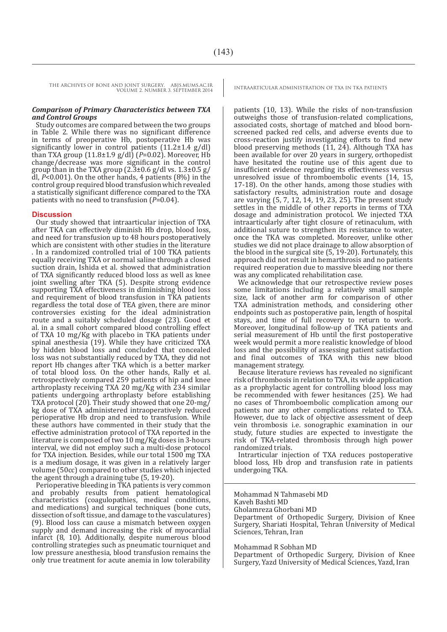#### *Comparison of Primary Characteristics between TXA and Control Groups*

Study outcomes are compared between the two groups in Table 2. While there was no significant difference in terms of preoperative Hb, postoperative Hb was significantly lower in control patients (11.2±1.4 g/dl) than TXA group (11.8±1.9 g/dl) (*P*=0.02). Moreover, Hb change/decrease was more significant in the control group than in the TXA group  $(2.3\pm0.6 \text{ g}/\text{d}l \text{ vs. } 1.3\pm0.5 \text{ g}/\text{d}l)$ dl, *P*<0.001). On the other hands, 4 patients (8%) in the control group required blood transfusion which revealed a statistically significant difference compared to the TXA patients with no need to transfusion (*P*=0.04).

#### **Discussion**

Our study showed that intraarticular injection of TXA after TKA can effectively diminish Hb drop, blood loss, and need for transfusion up to 48 hours postoperatively which are consistent with other studies in the literature . In a randomized controlled trial of 100 TKA patients equally receiving TXA or normal saline through a closed suction drain, Ishida et al. showed that administration of TXA significantly reduced blood loss as well as knee joint swelling after TKA (5). Despite strong evidence supporting TXA effectiveness in diminishing blood loss and requirement of blood transfusion in TKA patients regardless the total dose of TEA given, there are minor controversies existing for the ideal administration route and a suitably scheduled dosage (23). Good et al. in a small cohort compared blood controlling effect of TXA 10 mg/Kg with placebo in TKA patients under spinal anesthesia (19). While they have criticized TXA by hidden blood loss and concluded that concealed loss was not substantially reduced by TXA, they did not report Hb changes after TKA which is a better marker of total blood loss. On the other hands, Rally et al. retrospectively compared 259 patients of hip and knee arthroplasty receiving TXA 20 mg/Kg with 234 similar patients undergoing arthroplasty before establishing TXA protocol (20). Their study showed that one 20-mg/ kg dose of TXA administered intraoperatively reduced perioperative Hb drop and need to transfusion. While these authors have commented in their study that the effective administration protocol of TXA reported in the literature is composed of two 10 mg/Kg doses in 3-hours interval, we did not employ such a multi-dose protocol for TXA injection. Besides, while our total 1500 mg TXA is a medium dosage, it was given in a relatively larger volume (50cc) compared to other studies which injected the agent through a draining tube (5, 19-20).

Perioperative bleeding in TKA patients is very common and probably results from patient hematological characteristics (coagulopathies, medical conditions, and medications) and surgical techniques (bone cuts, dissection of soft tissue, and damage to the vasculatures) (9). Blood loss can cause a mismatch between oxygen supply and demand increasing the risk of myocardial infarct (8, 10). Additionally, despite numerous blood controlling strategies such as pneumatic tourniquet and low pressure anesthesia, blood transfusion remains the only true treatment for acute anemia in low tolerability

patients (10, 13). While the risks of non-transfusion outweighs those of transfusion-related complications, associated costs, shortage of matched and blood bornscreened packed red cells, and adverse events due to cross-reaction justify investigating efforts to find new blood preserving methods  $(11, 24)$ . Although TXA has been available for over 20 years in surgery, orthopedist have hesitated the routine use of this agent due to insufficient evidence regarding its effectiveness versus unresolved issue of thromboembolic events (14, 15, 17-18). On the other hands, among those studies with satisfactory results, administration route and dosage are varying (5, 7, 12, 14, 19, 23, 25). The present study settles in the middle of other reports in terms of TXA dosage and administration protocol. We injected TXA intraarticularly after tight closure of retinaculum, with additional suture to strengthen its resistance to water, once the TKA was completed. Moreover, unlike other studies we did not place drainage to allow absorption of the blood in the surgical site (5, 19-20). Fortunately, this approach did not result in hemarthrosis and no patients required reoperation due to massive bleeding nor there was any complicated rehabilitation case.

We acknowledge that our retrospective review poses some limitations including a relatively small sample size, lack of another arm for comparison of other TXA administration methods, and considering other endpoints such as postoperative pain, length of hospital stays, and time of full recovery to return to work. Moreover, longitudinal follow-up of TKA patients and serial measurement of Hb until the first postoperative week would permit a more realistic knowledge of blood loss and the possibility of assessing patient satisfaction and final outcomes of TKA with this new blood management strategy.

Because literature reviews has revealed no significant risk of thrombosis in relation to TXA, its wide application as a prophylactic agent for controlling blood loss may be recommended with fewer hesitances (25). We had no cases of Thromboembolic complication among our patients nor any other complications related to TXA. However, due to lack of objective assessment of deep vein thrombosis i.e. sonographic examination in our study, future studies are expected to investigate the risk of TKA-related thrombosis through high power randomized trials.

Intrarticular injection of TXA reduces postoperative blood loss, Hb drop and transfusion rate in patients undergoing TKA.

Mohammad N Tahmasebi MD Kaveh Bashti MD Gholamreza Ghorbani MD Department of Orthopedic Surgery, Division of Knee Surgery, Shariati Hospital, Tehran University of Medical Sciences, Tehran, Iran

Mohammad R Sobhan MD

Department of Orthopedic Surgery, Division of Knee Surgery, Yazd University of Medical Sciences, Yazd, Iran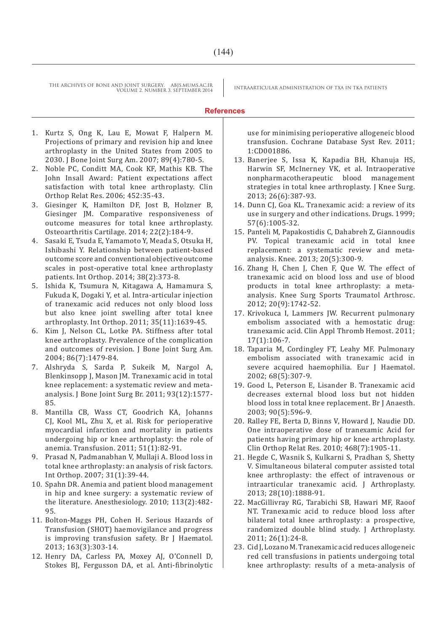#### **References**

- 1. Kurtz S, Ong K, Lau E, Mowat F, Halpern M. Projections of primary and revision hip and knee arthroplasty in the United States from 2005 to 2030. J Bone Joint Surg Am. 2007; 89(4):780-5.
- 2. Noble PC, Conditt MA, Cook KF, Mathis KB. The John Insall Award: Patient expectations affect satisfaction with total knee arthroplasty. Clin Orthop Relat Res. 2006; 452:35-43.
- 3. Giesinger K, Hamilton DF, Jost B, Holzner B, Giesinger JM. Comparative responsiveness of outcome measures for total knee arthroplasty. Osteoarthritis Cartilage. 2014; 22(2):184-9.
- 4. Sasaki E, Tsuda E, Yamamoto Y, Meada S, Otsuka H, Ishibashi Y. Relationship between patient-based outcome score and conventional objective outcome scales in post-operative total knee arthroplasty patients. Int Orthop. 2014; 38(2):373-8.
- 5. Ishida K, Tsumura N, Kitagawa A, Hamamura S, Fukuda K, Dogaki Y, et al. Intra-articular injection of tranexamic acid reduces not only blood loss but also knee joint swelling after total knee arthroplasty. Int Orthop. 2011; 35(11):1639-45.
- 6. Kim J, Nelson CL, Lotke PA. Stiffness after total knee arthroplasty. Prevalence of the complication and outcomes of revision. J Bone Joint Surg Am. 2004; 86(7):1479-84.
- 7. Alshryda S, Sarda P, Sukeik M, Nargol A, Blenkinsopp J, Mason JM. Tranexamic acid in total knee replacement: a systematic review and metaanalysis. J Bone Joint Surg Br. 2011; 93(12):1577- 85.
- 8. Mantilla CB, Wass CT, Goodrich KA, Johanns CJ, Kool ML, Zhu X, et al. Risk for perioperative myocardial infarction and mortality in patients undergoing hip or knee arthroplasty: the role of anemia. Transfusion. 2011; 51(1):82-91.
- 9. Prasad N, Padmanabhan V, Mullaji A. Blood loss in total knee arthroplasty: an analysis of risk factors. Int Orthop. 2007; 31(1):39-44.
- 10. Spahn DR. Anemia and patient blood management in hip and knee surgery: a systematic review of the literature. Anesthesiology. 2010; 113(2):482- 95.
- 11. Bolton-Maggs PH, Cohen H. Serious Hazards of Transfusion (SHOT) haemovigilance and progress is improving transfusion safety. Br J Haematol. 2013; 163(3):303-14.
- 12. Henry DA, Carless PA, Moxey AJ, O'Connell D, Stokes BJ, Fergusson DA, et al. Anti-fibrinolytic

use for minimising perioperative allogeneic blood transfusion. Cochrane Database Syst Rev. 2011; 1:CD001886.

- 13. Banerjee S, Issa K, Kapadia BH, Khanuja HS, Harwin SF, McInerney VK, et al. Intraoperative nonpharmacotherapeutic blood management strategies in total knee arthroplasty. J Knee Surg. 2013; 26(6):387-93.
- 14. Dunn CJ, Goa KL. Tranexamic acid: a review of its use in surgery and other indications. Drugs. 1999; 57(6):1005-32.
- 15. Panteli M, Papakostidis C, Dahabreh Z, Giannoudis PV. Topical tranexamic acid in total knee replacement: a systematic review and metaanalysis. Knee. 2013; 20(5):300-9.
- 16. Zhang H, Chen J, Chen F, Que W. The effect of tranexamic acid on blood loss and use of blood products in total knee arthroplasty: a metaanalysis. Knee Surg Sports Traumatol Arthrosc. 2012; 20(9):1742-52.
- 17. Krivokuca I, Lammers JW. Recurrent pulmonary embolism associated with a hemostatic drug: tranexamic acid. Clin Appl Thromb Hemost. 2011; 17(1):106-7.
- 18. Taparia M, Cordingley FT, Leahy MF. Pulmonary embolism associated with tranexamic acid in severe acquired haemophilia. Eur J Haematol. 2002; 68(5):307-9.
- 19. Good L, Peterson E, Lisander B. Tranexamic acid decreases external blood loss but not hidden blood loss in total knee replacement. Br J Anaesth. 2003; 90(5):596-9.
- 20. Ralley FE, Berta D, Binns V, Howard J, Naudie DD. One intraoperative dose of tranexamic Acid for patients having primary hip or knee arthroplasty. Clin Orthop Relat Res. 2010; 468(7):1905-11.
- 21. Hegde C, Wasnik S, Kulkarni S, Pradhan S, Shetty V. Simultaneous bilateral computer assisted total knee arthroplasty: the effect of intravenous or intraarticular tranexamic acid. J Arthroplasty. 2013; 28(10):1888-91.
- 22. MacGillivray RG, Tarabichi SB, Hawari MF, Raoof NT. Tranexamic acid to reduce blood loss after bilateral total knee arthroplasty: a prospective, randomized double blind study. J Arthroplasty. 2011; 26(1):24-8.
- 23. Cid J, Lozano M. Tranexamic acid reduces allogeneic red cell transfusions in patients undergoing total knee arthroplasty: results of a meta-analysis of